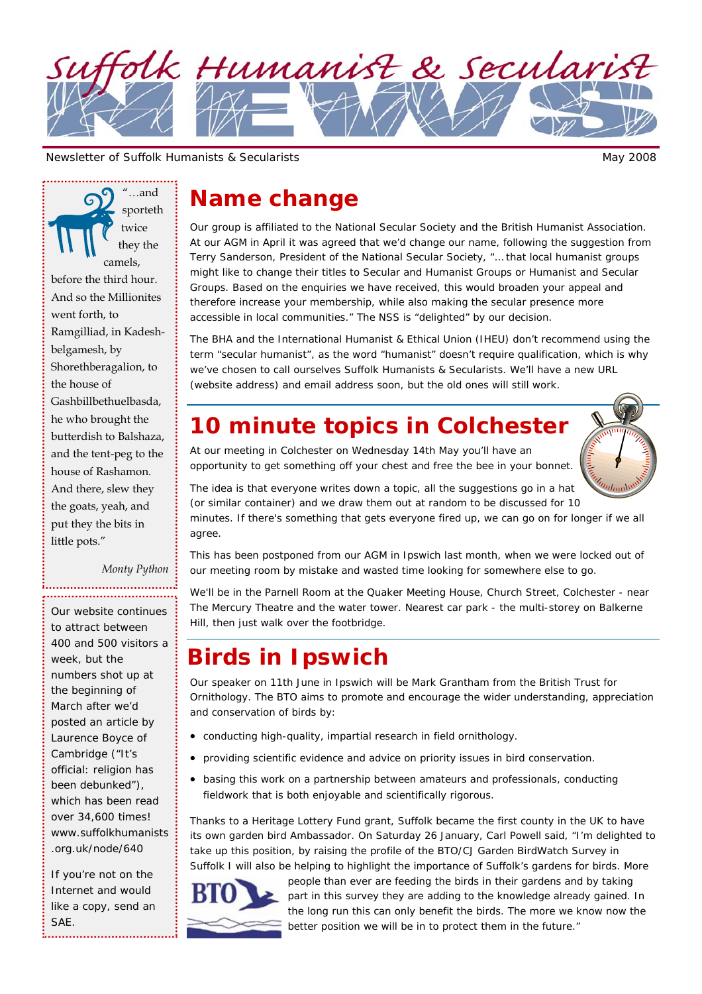

Newsletter of Suffolk Humanists & Secularists May 2008

"…and sporteth twice they the camels, before the third hour. And so the Millionites went forth, to Ramgilliad, in Kadeshbelgamesh, by Shorethberagalion, to the house of Gashbillbethuelbasda, he who brought the butterdish to Balshaza, and the tent-peg to the house of Rashamon. And there, slew they the goats, yeah, and put they the bits in little pots."

*Monty Python* 

Our website continues to attract between 400 and 500 visitors a week, but the numbers shot up at the beginning of March after we'd posted an article by Laurence Boyce of Cambridge ("It's official: religion has been debunked"), which has been read over 34,600 times! www.suffolkhumanists .org.uk/node/640

If you're not on the Internet and would like a copy, send an SAE.

## **Name change**

Our group is affiliated to the National Secular Society and the British Humanist Association. At our AGM in April it was agreed that we'd change our name, following the suggestion from Terry Sanderson, President of the National Secular Society, "… that local humanist groups might like to change their titles to Secular and Humanist Groups or Humanist and Secular Groups. Based on the enquiries we have received, this would broaden your appeal and therefore increase your membership, while also making the secular presence more accessible in local communities." The NSS is "delighted" by our decision.

The BHA and the International Humanist & Ethical Union (IHEU) don't recommend using the term "secular humanist", as the word "humanist" doesn't require qualification, which is why we've chosen to call ourselves Suffolk Humanists & Secularists. We'll have a new URL (website address) and email address soon, but the old ones will still work.

# **10 minute topics in Colchester**

At our meeting in Colchester on Wednesday 14th May you'll have an

opportunity to get something off your chest and free the bee in your bonnet.

The idea is that everyone writes down a topic, all the suggestions go in a hat (or similar container) and we draw them out at random to be discussed for 10 minutes. If there's something that gets everyone fired up, we can go on for longer if we all agree.

This has been postponed from our AGM in Ipswich last month, when we were locked out of our meeting room by mistake and wasted time looking for somewhere else to go.

We'll be in the Parnell Room at the Quaker Meeting House, Church Street, Colchester - near The Mercury Theatre and the water tower. Nearest car park - the multi-storey on Balkerne Hill, then just walk over the footbridge.

# **Birds in Ipswich**

Our speaker on 11th June in Ipswich will be Mark Grantham from the British Trust for Ornithology. The BTO aims to promote and encourage the wider understanding, appreciation and conservation of birds by:

- conducting high-quality, impartial research in field ornithology.
- providing scientific evidence and advice on priority issues in bird conservation.
- basing this work on a partnership between amateurs and professionals, conducting fieldwork that is both enjoyable and scientifically rigorous.

Thanks to a Heritage Lottery Fund grant, Suffolk became the first county in the UK to have its own garden bird Ambassador. On Saturday 26 January, Carl Powell said, "I'm delighted to take up this position, by raising the profile of the BTO/CJ Garden BirdWatch Survey in Suffolk I will also be helping to highlight the importance of Suffolk's gardens for birds. More



people than ever are feeding the birds in their gardens and by taking part in this survey they are adding to the knowledge already gained. In the long run this can only benefit the birds. The more we know now the better position we will be in to protect them in the future."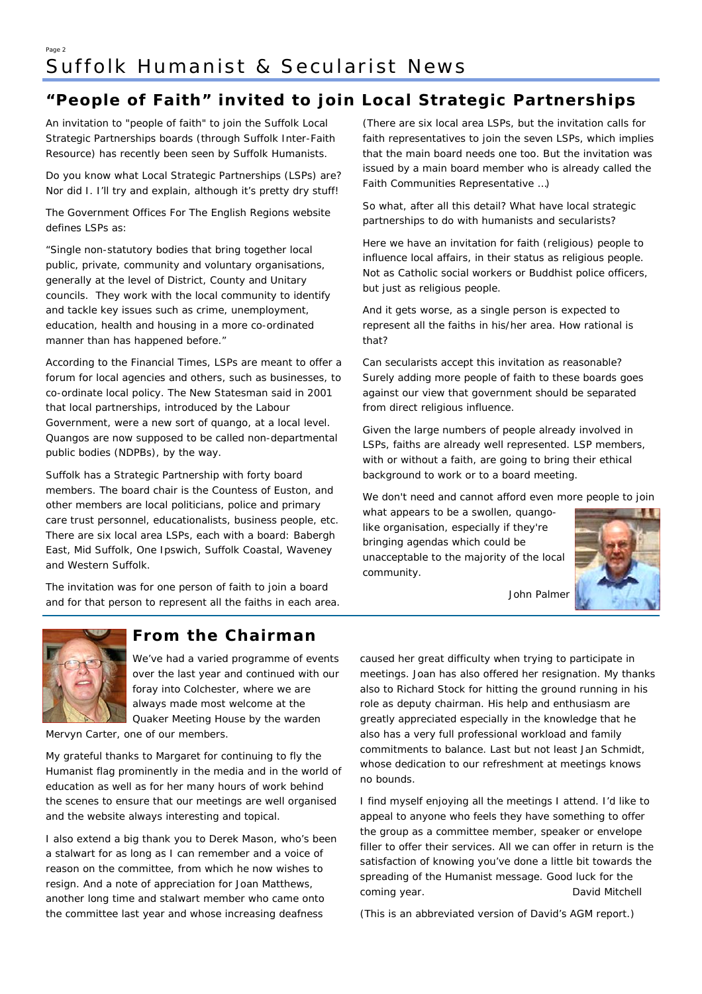#### Page 2 Suffolk Humanist & Secularist News

## **"People of Faith" invited to join Local Strategic Partnerships**

An invitation to "people of faith" to join the Suffolk Local Strategic Partnerships boards (through Suffolk Inter-Faith Resource) has recently been seen by Suffolk Humanists.

Do you know what Local Strategic Partnerships (LSPs) are? Nor did I. I'll try and explain, although it's pretty dry stuff!

The Government Offices For The English Regions website defines LSPs as:

"Single non-statutory bodies that bring together local public, private, community and voluntary organisations, generally at the level of District, County and Unitary councils. They work with the local community to identify and tackle key issues such as crime, unemployment, education, health and housing in a more co-ordinated manner than has happened before."

According to the Financial Times, LSPs are meant to offer a forum for local agencies and others, such as businesses, to co-ordinate local policy. The New Statesman said in 2001 that local partnerships, introduced by the Labour Government, were a new sort of quango, at a local level. Quangos are now supposed to be called non-departmental public bodies (NDPBs), by the way.

Suffolk has a Strategic Partnership with forty board members. The board chair is the Countess of Euston, and other members are local politicians, police and primary care trust personnel, educationalists, business people, etc. There are six local area LSPs, each with a board: Babergh East, Mid Suffolk, One Ipswich, Suffolk Coastal, Waveney and Western Suffolk.

The invitation was for one person of faith to join a board and for that person to represent all the faiths in each area. (There are six local area LSPs, but the invitation calls for faith representatives to join the seven LSPs, which implies that the main board needs one too. But the invitation was issued by a main board member who is already called the Faith Communities Representative …)

So what, after all this detail? What have local strategic partnerships to do with humanists and secularists?

Here we have an invitation for faith (religious) people to influence local affairs, in their status as religious people. Not as Catholic social workers or Buddhist police officers, but just as religious people.

And it gets worse, as a single person is expected to represent all the faiths in his/her area. How rational is that?

Can secularists accept this invitation as reasonable? Surely adding more people of faith to these boards goes against our view that government should be separated from direct religious influence.

Given the large numbers of people already involved in LSPs, faiths are already well represented. LSP members, with or without a faith, are going to bring their ethical background to work or to a board meeting.

We don't need and cannot afford even more people to join

what appears to be a swollen, quangolike organisation, especially if they're bringing agendas which could be unacceptable to the majority of the local community.



*John Palmer* 



## **From the Chairman**

We've had a varied programme of events over the last year and continued with our foray into Colchester, where we are always made most welcome at the Quaker Meeting House by the warden

Mervyn Carter, one of our members.

My grateful thanks to Margaret for continuing to fly the Humanist flag prominently in the media and in the world of education as well as for her many hours of work behind the scenes to ensure that our meetings are well organised and the website always interesting and topical.

I also extend a big thank you to Derek Mason, who's been a stalwart for as long as I can remember and a voice of reason on the committee, from which he now wishes to resign. And a note of appreciation for Joan Matthews, another long time and stalwart member who came onto the committee last year and whose increasing deafness

caused her great difficulty when trying to participate in meetings. Joan has also offered her resignation. My thanks also to Richard Stock for hitting the ground running in his role as deputy chairman. His help and enthusiasm are greatly appreciated especially in the knowledge that he also has a very full professional workload and family commitments to balance. Last but not least Jan Schmidt, whose dedication to our refreshment at meetings knows no bounds.

I find myself enjoying all the meetings I attend. I'd like to appeal to anyone who feels they have something to offer the group as a committee member, speaker or envelope filler to offer their services. All we can offer in return is the satisfaction of knowing you've done a little bit towards the spreading of the Humanist message. Good luck for the coming year. *David Mitchell* 

(This is an abbreviated version of David's AGM report.)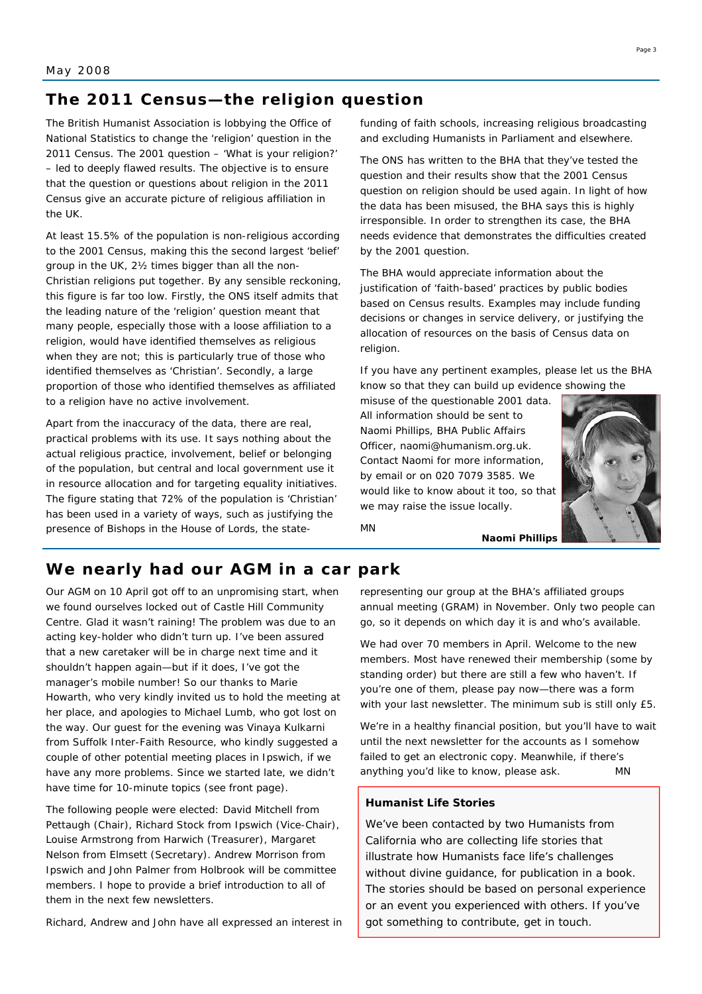### **The 2011 Census—the religion question**

The British Humanist Association is lobbying the Office of National Statistics to change the 'religion' question in the 2011 Census. The 2001 question – 'What is your religion?' – led to deeply flawed results. The objective is to ensure that the question or questions about religion in the 2011 Census give an accurate picture of religious affiliation in the UK.

At least 15.5% of the population is non-religious according to the 2001 Census, making this the second largest 'belief' group in the UK, 2½ times bigger than all the non-Christian religions put together. By any sensible reckoning, this figure is far too low. Firstly, the ONS itself admits that the leading nature of the 'religion' question meant that many people, especially those with a loose affiliation to a religion, would have identified themselves as religious when they are not; this is particularly true of those who identified themselves as 'Christian'. Secondly, a large proportion of those who identified themselves as affiliated to a religion have no active involvement.

Apart from the inaccuracy of the data, there are real, practical problems with its use. It says nothing about the actual religious practice, involvement, belief or belonging of the population, but central and local government use it in resource allocation and for targeting equality initiatives. The figure stating that 72% of the population is 'Christian' has been used in a variety of ways, such as justifying the presence of Bishops in the House of Lords, the statefunding of faith schools, increasing religious broadcasting and excluding Humanists in Parliament and elsewhere.

The ONS has written to the BHA that they've tested the question and their results show that the 2001 Census question on religion should be used again. In light of how the data has been misused, the BHA says this is highly irresponsible. In order to strengthen its case, the BHA needs evidence that demonstrates the difficulties created by the 2001 question.

The BHA would appreciate information about the justification of 'faith-based' practices by public bodies based on Census results. Examples may include funding decisions or changes in service delivery, or justifying the allocation of resources on the basis of Census data on religion.

If you have any pertinent examples, please let us the BHA know so that they can build up evidence showing the

misuse of the questionable 2001 data. All information should be sent to Naomi Phillips, BHA Public Affairs Officer, naomi@humanism.org.uk. Contact Naomi for more information, by email or on 020 7079 3585. We would like to know about it too, so that we may raise the issue locally.



*MN* 

#### **We nearly had our AGM in a car park**

Our AGM on 10 April got off to an unpromising start, when we found ourselves locked out of Castle Hill Community Centre. Glad it wasn't raining! The problem was due to an acting key-holder who didn't turn up. I've been assured that a new caretaker will be in charge next time and it shouldn't happen again—but if it does, I've got the manager's mobile number! So our thanks to Marie Howarth, who very kindly invited us to hold the meeting at her place, and apologies to Michael Lumb, who got lost on the way. Our guest for the evening was Vinaya Kulkarni from Suffolk Inter-Faith Resource, who kindly suggested a couple of other potential meeting places in Ipswich, if we have any more problems. Since we started late, we didn't have time for 10-minute topics (see front page).

The following people were elected: David Mitchell from Pettaugh (Chair), Richard Stock from Ipswich (Vice-Chair), Louise Armstrong from Harwich (Treasurer), Margaret Nelson from Elmsett (Secretary). Andrew Morrison from Ipswich and John Palmer from Holbrook will be committee members. I hope to provide a brief introduction to all of them in the next few newsletters.

Richard, Andrew and John have all expressed an interest in

representing our group at the BHA's affiliated groups annual meeting (GRAM) in November. Only two people can go, so it depends on which day it is and who's available.

We had over 70 members in April. Welcome to the new members. Most have renewed their membership (some by standing order) but there are still a few who haven't. If you're one of them, please pay now—there was a form with your last newsletter. The minimum sub is still only £5.

We're in a healthy financial position, but you'll have to wait until the next newsletter for the accounts as I somehow failed to get an electronic copy. Meanwhile, if there's anything you'd like to know, please ask. *MN*

#### **Humanist Life Stories**

We've been contacted by two Humanists from California who are collecting life stories that illustrate how Humanists face life's challenges without divine guidance, for publication in a book. The stories should be based on personal experience or an event you experienced with others. If you've got something to contribute, get in touch.